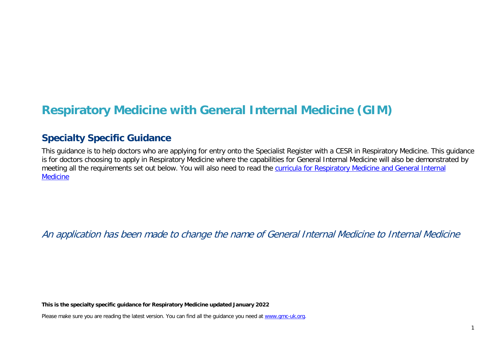# **Respiratory Medicine with General Internal Medicine (GIM)**

# **Specialty Specific Guidance**

This guidance is to help doctors who are applying for entry onto the Specialist Register with a CESR in Respiratory Medicine. This guidance is for doctors choosing to apply in Respiratory Medicine where the capabilities for General Internal Medicine will also be demonstrated by meeting all the requirements set out below. You will also need to read the curricula for Respiratory Medicine and General Internal **[Medicine](https://www.gmc-uk.org/education/standards-guidance-and-curricula/curricula%23T)** 

An application has been made to change the name of General Internal Medicine to Internal Medicine

**This is the specialty specific guidance for Respiratory Medicine updated January 2022**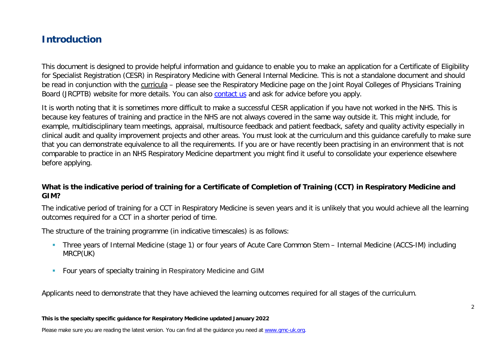# **Introduction**

This document is designed to provide helpful information and guidance to enable you to make an application for a Certificate of Eligibility for Specialist Registration (CESR) in Respiratory Medicine with General Internal Medicine. This is not a standalone document and should be read in conjunction with the [curricula](https://www.gmc-uk.org/education/standards-guidance-and-curricula/curricula#T) – please see the Respiratory Medicine page on the Joint Royal Colleges of Physicians Training Board (JRCPTB) website for more details. You can also [contact us](http://www.gmc-uk.org/about/contacts.asp) and ask for advice before you apply.

It is worth noting that it is sometimes more difficult to make a successful CESR application if you have not worked in the NHS. This is because key features of training and practice in the NHS are not always covered in the same way outside it. This might include, for example, multidisciplinary team meetings, appraisal, multisource feedback and patient feedback, safety and quality activity especially in clinical audit and quality improvement projects and other areas. You must look at the curriculum and this guidance carefully to make sure that you can demonstrate equivalence to all the requirements. If you are or have recently been practising in an environment that is not comparable to practice in an NHS Respiratory Medicine department you might find it useful to consolidate your experience elsewhere before applying.

### **What is the indicative period of training for a Certificate of Completion of Training (CCT) in Respiratory Medicine and GIM?**

The indicative period of training for a CCT in Respiratory Medicine is seven years and it is unlikely that you would achieve all the learning outcomes required for a CCT in a shorter period of time.

The structure of the training programme (in indicative timescales) is as follows:

- Three years of Internal Medicine (stage 1) or four years of Acute Care Common Stem Internal Medicine (ACCS-IM) including MRCP(UK)
- **Four years of specialty training in Respiratory Medicine and GIM**

Applicants need to demonstrate that they have achieved the learning outcomes required for all stages of the curriculum.

#### **This is the specialty specific guidance for Respiratory Medicine updated January 2022**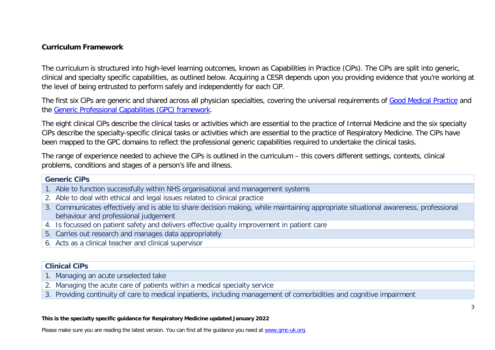### **Curriculum Framework**

The curriculum is structured into high-level learning outcomes, known as Capabilities in Practice (CiPs). The CiPs are split into generic, clinical and specialty specific capabilities, as outlined below. Acquiring a CESR depends upon you providing evidence that you're working at the level of being entrusted to perform safely and independently for each CiP.

The first six CiPs are generic and shared across all physician specialties, covering the universal requirements of [Good Medical Practice](https://www.gmc-uk.org/-/media/documents/good-medical-practice---english-20200128_pdf-51527435.pdf?la=en&hash=DA1263358CCA88F298785FE2BD7610EB4EE9A530) and the [Generic Professional Capabilities \(GPC\) framework.](https://www.gmc-uk.org/-/media/documents/generic-professional-capabilities-framework--0817_pdf-70417127.pdf)

The eight clinical CiPs describe the clinical tasks or activities which are essential to the practice of Internal Medicine and the six specialty CiPs describe the specialty-specific clinical tasks or activities which are essential to the practice of Respiratory Medicine. The CiPs have been mapped to the GPC domains to reflect the professional generic capabilities required to undertake the clinical tasks.

The range of experience needed to achieve the CiPs is outlined in the curriculum – this covers different settings, contexts, clinical problems, conditions and stages of a person's life and illness.

#### **Generic CiPs**

- 1. Able to function successfully within NHS organisational and management systems
- 2. Able to deal with ethical and legal issues related to clinical practice
- 3. Communicates effectively and is able to share decision making, while maintaining appropriate situational awareness, professional behaviour and professional judgement
- 4. Is focussed on patient safety and delivers effective quality improvement in patient care
- 5. Carries out research and manages data appropriately
- 6. Acts as a clinical teacher and clinical supervisor

### **Clinical CiPs**

- 1. Managing an acute unselected take
- 2. Managing the acute care of patients within a medical specialty service
- 3. Providing continuity of care to medical inpatients, including management of comorbidities and cognitive impairment

#### **This is the specialty specific guidance for Respiratory Medicine updated January 2022**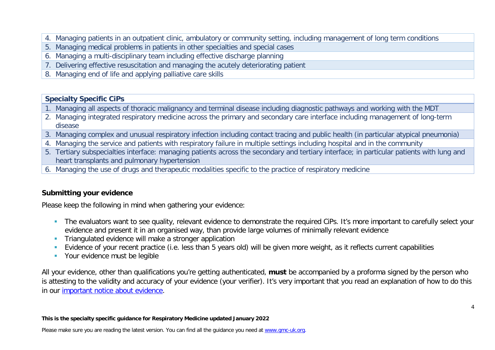- 4. Managing patients in an outpatient clinic, ambulatory or community setting, including management of long term conditions
- 5. Managing medical problems in patients in other specialties and special cases
- 6. Managing a multi-disciplinary team including effective discharge planning
- 7. Delivering effective resuscitation and managing the acutely deteriorating patient
- 8. Managing end of life and applying palliative care skills

### **Specialty Specific CiPs**

- 1. Managing all aspects of thoracic malignancy and terminal disease including diagnostic pathways and working with the MDT
- 2. Managing integrated respiratory medicine across the primary and secondary care interface including management of long-term disease
- 3. Managing complex and unusual respiratory infection including contact tracing and public health (in particular atypical pneumonia)
- 4. Managing the service and patients with respiratory failure in multiple settings including hospital and in the community
- 5. Tertiary subspecialties interface: managing patients across the secondary and tertiary interface; in particular patients with lung and heart transplants and pulmonary hypertension
- 6. Managing the use of drugs and therapeutic modalities specific to the practice of respiratory medicine

### **Submitting your evidence**

Please keep the following in mind when gathering your evidence:

- The evaluators want to see quality, relevant evidence to demonstrate the required CiPs. It's more important to carefully select your evidence and present it in an organised way, than provide large volumes of minimally relevant evidence
- **Triangulated evidence will make a stronger application**
- Evidence of your recent practice (i.e. less than 5 years old) will be given more weight, as it reflects current capabilities
- **•** Your evidence must be legible

All your evidence, other than qualifications you're getting authenticated, **must** be accompanied by a proforma signed by the person who is attesting to the validity and accuracy of your evidence (your verifier). It's very important that you read an explanation of how to do this in our [important notice about evidence.](http://www.gmc-uk.org/doctors/evidence_notice.asp)

#### **This is the specialty specific guidance for Respiratory Medicine updated January 2022**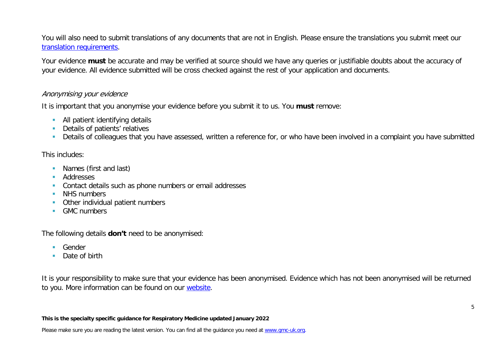You will also need to submit translations of any documents that are not in English. Please ensure the translations you submit meet our [translation requirements.](http://www.gmc-uk.org/doctors/translations.asp)

Your evidence **must** be accurate and may be verified at source should we have any queries or justifiable doubts about the accuracy of your evidence. All evidence submitted will be cross checked against the rest of your application and documents.

### Anonymising your evidence

It is important that you anonymise your evidence before you submit it to us. You **must** remove:

- **All patient identifying details**
- **Details of patients' relatives**
- Details of colleagues that you have assessed, written a reference for, or who have been involved in a complaint you have submitted

### This includes:

- **Names (first and last)**
- **Addresses**
- **Contact details such as phone numbers or email addresses**
- **NHS numbers**
- **•** Other individual patient numbers
- **GMC** numbers

The following details **don't** need to be anonymised:

- Gender
- Date of birth

It is your responsibility to make sure that your evidence has been anonymised. Evidence which has not been anonymised will be returned to you. More information can be found on our [website.](https://www.gmc-uk.org/registration-and-licensing/join-the-register/registration-applications/cesr-cegpr-application-process/anonymisation)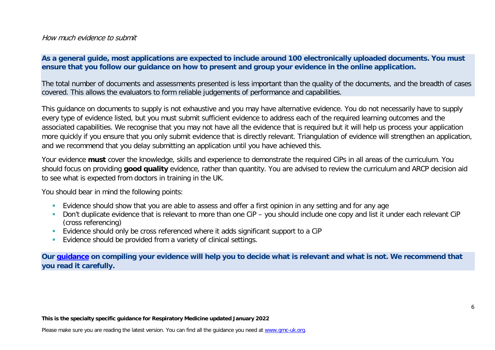### How much evidence to submit

### **As a general guide, most applications are expected to include around 100 electronically uploaded documents. You must ensure that you follow our guidance on how to present and group your evidence in the online application.**

The total number of documents and assessments presented is less important than the quality of the documents, and the breadth of cases covered. This allows the evaluators to form reliable judgements of performance and capabilities.

This guidance on documents to supply is not exhaustive and you may have alternative evidence. You do not necessarily have to supply every type of evidence listed, but you must submit sufficient evidence to address each of the required learning outcomes and the associated capabilities. We recognise that you may not have all the evidence that is required but it will help us process your application more quickly if you ensure that you only submit evidence that is directly relevant. Triangulation of evidence will strengthen an application, and we recommend that you delay submitting an application until you have achieved this.

Your evidence **must** cover the knowledge, skills and experience to demonstrate the required CiPs in all areas of the curriculum. You should focus on providing **good quality** evidence, rather than quantity. You are advised to review the curriculum and ARCP decision aid to see what is expected from doctors in training in the UK.

You should bear in mind the following points:

- **Evidence should show that you are able to assess and offer a first opinion in any setting and for any age**
- Don't duplicate evidence that is relevant to more than one CiP you should include one copy and list it under each relevant CiP (cross referencing)
- Evidence should only be cross referenced where it adds significant support to a CiP
- **Evidence should be provided from a variety of clinical settings.**

**Our [guidance](https://www.gmc-uk.org/-/media/documents/sat---cesr-cegpr-online-application---user-guide---dc11550_pdf-76194730.pdf) on compiling your evidence will help you to decide what is relevant and what is not. We recommend that you read it carefully.**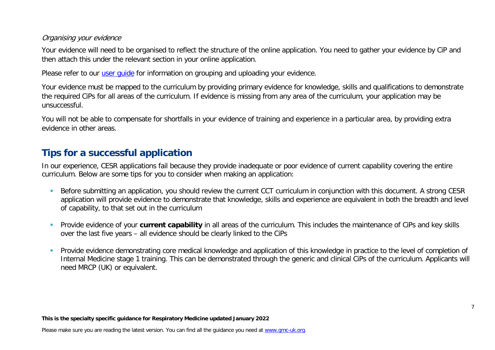### Organising your evidence

Your evidence will need to be organised to reflect the structure of the online application. You need to gather your evidence by CiP and then attach this under the relevant section in your online application.

Please refer to our user quide for information on grouping and uploading your evidence.

Your evidence must be mapped to the curriculum by providing primary evidence for knowledge, skills and qualifications to demonstrate the required CiPs for all areas of the curriculum. If evidence is missing from any area of the curriculum, your application may be unsuccessful.

You will not be able to compensate for shortfalls in your evidence of training and experience in a particular area, by providing extra evidence in other areas.

# **Tips for a successful application**

In our experience, CESR applications fail because they provide inadequate or poor evidence of current capability covering the entire curriculum. Below are some tips for you to consider when making an application:

- Before submitting an application, you should review the current CCT curriculum in conjunction with this document. A strong CESR application will provide evidence to demonstrate that knowledge, skills and experience are equivalent in both the breadth and level of capability, to that set out in the curriculum
- Provide evidence of your **current capability** in all areas of the curriculum. This includes the maintenance of CiPs and key skills over the last five years – all evidence should be clearly linked to the CiPs
- **Provide evidence demonstrating core medical knowledge and application of this knowledge in practice to the level of completion of set of completion of** Internal Medicine stage 1 training. This can be demonstrated through the generic and clinical CiPs of the curriculum. Applicants will need MRCP (UK) or equivalent.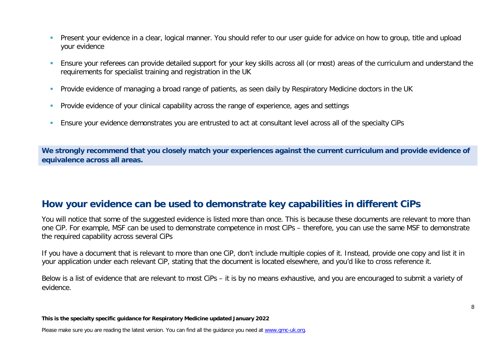- **Present your evidence in a clear, logical manner. You should refer to our user quide for advice on how to group, title and upload** your evidence
- Ensure your referees can provide detailed support for your key skills across all (or most) areas of the curriculum and understand the requirements for specialist training and registration in the UK
- **Provide evidence of managing a broad range of patients, as seen daily by Respiratory Medicine doctors in the UK**
- **Provide evidence of your clinical capability across the range of experience, ages and settings**
- Ensure your evidence demonstrates you are entrusted to act at consultant level across all of the specialty CiPs

**We strongly recommend that you closely match your experiences against the current curriculum and provide evidence of equivalence across all areas.** 

# **How your evidence can be used to demonstrate key capabilities in different CiPs**

You will notice that some of the suggested evidence is listed more than once. This is because these documents are relevant to more than one CiP. For example, MSF can be used to demonstrate competence in most CiPs – therefore, you can use the same MSF to demonstrate the required capability across several CiPs

If you have a document that is relevant to more than one CiP, don't include multiple copies of it. Instead, provide one copy and list it in your application under each relevant CiP, stating that the document is located elsewhere, and you'd like to cross reference it.

Below is a list of evidence that are relevant to most CiPs – it is by no means exhaustive, and you are encouraged to submit a variety of evidence.

**This is the specialty specific guidance for Respiratory Medicine updated January 2022**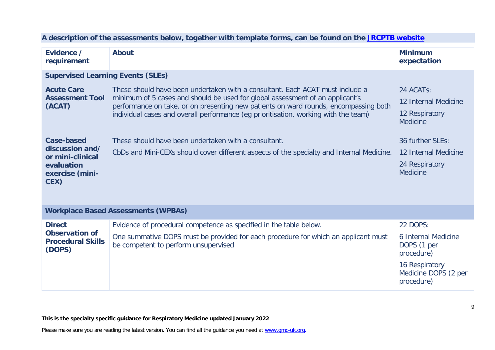| Evidence /<br>requirement                                   | <b>About</b>                                                                                                                                                                                                                                           | <b>Minimum</b><br>expectation                        |  |
|-------------------------------------------------------------|--------------------------------------------------------------------------------------------------------------------------------------------------------------------------------------------------------------------------------------------------------|------------------------------------------------------|--|
| <b>Supervised Learning Events (SLEs)</b>                    |                                                                                                                                                                                                                                                        |                                                      |  |
| <b>Acute Care</b>                                           | These should have been undertaken with a consultant. Each ACAT must include a<br>minimum of 5 cases and should be used for global assessment of an applicant's<br>performance on take, or on presenting new patients on ward rounds, encompassing both | 24 ACATs:                                            |  |
| <b>Assessment Tool</b><br>(ACAT)                            |                                                                                                                                                                                                                                                        | 12 Internal Medicine                                 |  |
|                                                             | individual cases and overall performance (eg prioritisation, working with the team)                                                                                                                                                                    | 12 Respiratory<br><b>Medicine</b>                    |  |
| <b>Case-based</b>                                           | These should have been undertaken with a consultant.                                                                                                                                                                                                   | 36 further SLEs:                                     |  |
| discussion and/<br>or mini-clinical                         | CbDs and Mini-CEXs should cover different aspects of the specialty and Internal Medicine.                                                                                                                                                              | 12 Internal Medicine                                 |  |
| evaluation<br>exercise (mini-                               |                                                                                                                                                                                                                                                        | 24 Respiratory<br><b>Medicine</b>                    |  |
| CEX)                                                        |                                                                                                                                                                                                                                                        |                                                      |  |
| <b>Workplace Based Assessments (WPBAs)</b>                  |                                                                                                                                                                                                                                                        |                                                      |  |
| <b>Direct</b>                                               | Evidence of procedural competence as specified in the table below.                                                                                                                                                                                     | 22 DOPS:                                             |  |
| <b>Observation of</b><br><b>Procedural Skills</b><br>(DOPS) | One summative DOPS must be provided for each procedure for which an applicant must<br>be competent to perform unsupervised                                                                                                                             | 6 Internal Medicine<br>DOPS (1 per<br>procedure)     |  |
|                                                             |                                                                                                                                                                                                                                                        | 16 Respiratory<br>Medicine DOPS (2 per<br>procedure) |  |

### **A description of the assessments below, together with template forms, can be found on the [JRCPTB website](https://www.jrcptb.org.uk/assessment/workplace-based-assessment)**

**This is the specialty specific guidance for Respiratory Medicine updated January 2022**

Please make sure you are reading the latest version. You can find all the guidance you need at [www.gmc-uk.org.](http://www.gmc-uk.org/)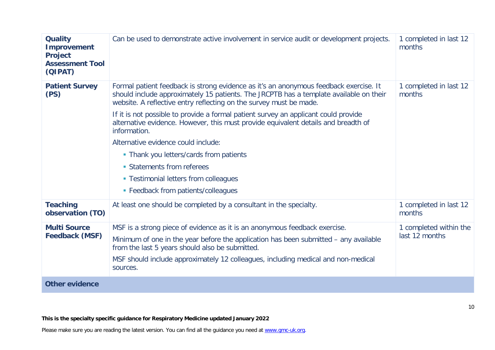| <b>Quality</b><br><b>Improvement</b><br><b>Project</b><br><b>Assessment Tool</b><br>(QIPAT) | Can be used to demonstrate active involvement in service audit or development projects.                                                                                                                                                                                                                                                                                                                                                                                                                                                                                                                                                            | 1 completed in last 12<br>months         |
|---------------------------------------------------------------------------------------------|----------------------------------------------------------------------------------------------------------------------------------------------------------------------------------------------------------------------------------------------------------------------------------------------------------------------------------------------------------------------------------------------------------------------------------------------------------------------------------------------------------------------------------------------------------------------------------------------------------------------------------------------------|------------------------------------------|
| <b>Patient Survey</b><br>(PS)                                                               | Formal patient feedback is strong evidence as it's an anonymous feedback exercise. It<br>should include approximately 15 patients. The JRCPTB has a template available on their<br>website. A reflective entry reflecting on the survey must be made.<br>If it is not possible to provide a formal patient survey an applicant could provide<br>alternative evidence. However, this must provide equivalent details and breadth of<br>information.<br>Alternative evidence could include:<br>• Thank you letters/cards from patients<br>• Statements from referees<br>• Testimonial letters from colleagues<br>• Feedback from patients/colleagues | 1 completed in last 12<br>months         |
| <b>Teaching</b><br>observation (TO)                                                         | At least one should be completed by a consultant in the specialty.                                                                                                                                                                                                                                                                                                                                                                                                                                                                                                                                                                                 | 1 completed in last 12<br>months         |
| <b>Multi Source</b><br><b>Feedback (MSF)</b>                                                | MSF is a strong piece of evidence as it is an anonymous feedback exercise.<br>Minimum of one in the year before the application has been submitted - any available<br>from the last 5 years should also be submitted.<br>MSF should include approximately 12 colleagues, including medical and non-medical<br>sources.                                                                                                                                                                                                                                                                                                                             | 1 completed within the<br>last 12 months |
| <b>Other evidence</b>                                                                       |                                                                                                                                                                                                                                                                                                                                                                                                                                                                                                                                                                                                                                                    |                                          |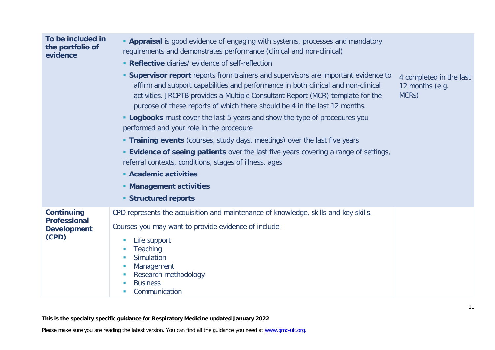| To be included in<br>the portfolio of<br>evidence                       | • Appraisal is good evidence of engaging with systems, processes and mandatory<br>requirements and demonstrates performance (clinical and non-clinical)<br>• Reflective diaries/ evidence of self-reflection<br>• Supervisor report reports from trainers and supervisors are important evidence to<br>affirm and support capabilities and performance in both clinical and non-clinical<br>activities. JRCPTB provides a Multiple Consultant Report (MCR) template for the<br>purpose of these reports of which there should be 4 in the last 12 months.<br>• Logbooks must cover the last 5 years and show the type of procedures you<br>performed and your role in the procedure<br><b>Training events</b> (courses, study days, meetings) over the last five years<br><b>Evidence of seeing patients</b> over the last five years covering a range of settings,<br>referral contexts, conditions, stages of illness, ages<br><b>Academic activities</b><br>• Management activities<br><b>Structured reports</b> | 4 completed in the last<br>12 months (e.g.<br>MCRs) |
|-------------------------------------------------------------------------|---------------------------------------------------------------------------------------------------------------------------------------------------------------------------------------------------------------------------------------------------------------------------------------------------------------------------------------------------------------------------------------------------------------------------------------------------------------------------------------------------------------------------------------------------------------------------------------------------------------------------------------------------------------------------------------------------------------------------------------------------------------------------------------------------------------------------------------------------------------------------------------------------------------------------------------------------------------------------------------------------------------------|-----------------------------------------------------|
| <b>Continuing</b><br><b>Professional</b><br><b>Development</b><br>(CPD) | CPD represents the acquisition and maintenance of knowledge, skills and key skills.<br>Courses you may want to provide evidence of include:<br>Life support<br>Teaching<br>Simulation<br>Management<br>u.<br>Research methodology<br>u.<br><b>Business</b><br>Communication                                                                                                                                                                                                                                                                                                                                                                                                                                                                                                                                                                                                                                                                                                                                         |                                                     |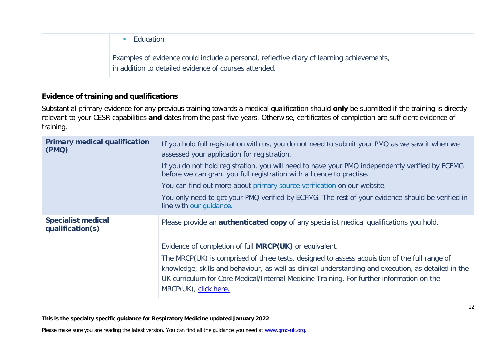| Education                                                                                                                                          |  |
|----------------------------------------------------------------------------------------------------------------------------------------------------|--|
| Examples of evidence could include a personal, reflective diary of learning achievements,<br>in addition to detailed evidence of courses attended. |  |

### **Evidence of training and qualifications**

Substantial primary evidence for any previous training towards a medical qualification should **only** be submitted if the training is directly relevant to your CESR capabilities **and** dates from the past five years. Otherwise, certificates of completion are sufficient evidence of training.

| <b>Primary medical qualification</b><br>(PMQ) | If you hold full registration with us, you do not need to submit your PMQ as we saw it when we<br>assessed your application for registration.<br>If you do not hold registration, you will need to have your PMQ independently verified by ECFMG<br>before we can grant you full registration with a licence to practise.<br>You can find out more about primary source verification on our website.<br>You only need to get your PMQ verified by ECFMG. The rest of your evidence should be verified in<br>line with our guidance. |
|-----------------------------------------------|-------------------------------------------------------------------------------------------------------------------------------------------------------------------------------------------------------------------------------------------------------------------------------------------------------------------------------------------------------------------------------------------------------------------------------------------------------------------------------------------------------------------------------------|
| <b>Specialist medical</b><br>qualification(s) | Please provide an <b>authenticated copy</b> of any specialist medical qualifications you hold.<br>Evidence of completion of full <b>MRCP(UK)</b> or equivalent.<br>The MRCP(UK) is comprised of three tests, designed to assess acquisition of the full range of<br>knowledge, skills and behaviour, as well as clinical understanding and execution, as detailed in the<br>UK curriculum for Core Medical/Internal Medicine Training. For further information on the<br>MRCP(UK), click here.                                      |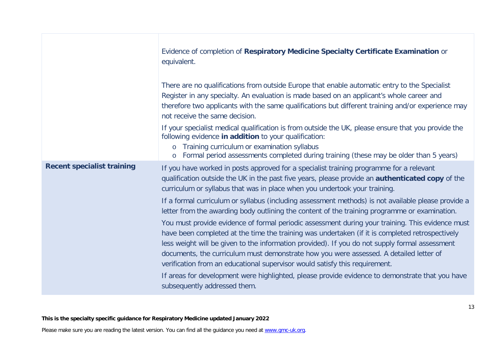|                                   | Evidence of completion of Respiratory Medicine Specialty Certificate Examination or<br>equivalent.                                                                                                                                                                                                                                                                                                                                                                             |
|-----------------------------------|--------------------------------------------------------------------------------------------------------------------------------------------------------------------------------------------------------------------------------------------------------------------------------------------------------------------------------------------------------------------------------------------------------------------------------------------------------------------------------|
|                                   | There are no qualifications from outside Europe that enable automatic entry to the Specialist<br>Register in any specialty. An evaluation is made based on an applicant's whole career and<br>therefore two applicants with the same qualifications but different training and/or experience may<br>not receive the same decision.                                                                                                                                             |
|                                   | If your specialist medical qualification is from outside the UK, please ensure that you provide the<br>following evidence in addition to your qualification:<br>Training curriculum or examination syllabus<br>$\circ$<br>Formal period assessments completed during training (these may be older than 5 years)<br>$\circ$                                                                                                                                                     |
| <b>Recent specialist training</b> | If you have worked in posts approved for a specialist training programme for a relevant<br>qualification outside the UK in the past five years, please provide an <b>authenticated copy</b> of the<br>curriculum or syllabus that was in place when you undertook your training.                                                                                                                                                                                               |
|                                   | If a formal curriculum or syllabus (including assessment methods) is not available please provide a<br>letter from the awarding body outlining the content of the training programme or examination.                                                                                                                                                                                                                                                                           |
|                                   | You must provide evidence of formal periodic assessment during your training. This evidence must<br>have been completed at the time the training was undertaken (if it is completed retrospectively<br>less weight will be given to the information provided). If you do not supply formal assessment<br>documents, the curriculum must demonstrate how you were assessed. A detailed letter of<br>verification from an educational supervisor would satisfy this requirement. |
|                                   | If areas for development were highlighted, please provide evidence to demonstrate that you have<br>subsequently addressed them.                                                                                                                                                                                                                                                                                                                                                |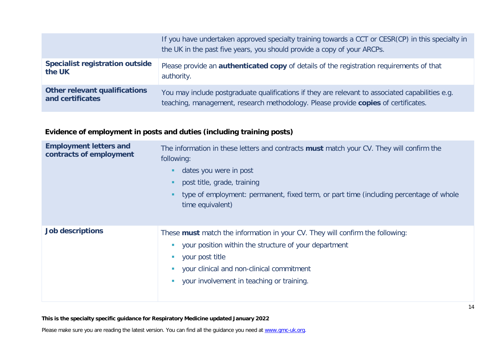|                                        | If you have undertaken approved specialty training towards a CCT or CESR(CP) in this specialty in<br>the UK in the past five years, you should provide a copy of your ARCPs. |
|----------------------------------------|------------------------------------------------------------------------------------------------------------------------------------------------------------------------------|
| <b>Specialist registration outside</b> | Please provide an <b>authenticated copy</b> of details of the registration requirements of that                                                                              |
| the UK                                 | authority.                                                                                                                                                                   |
| <b>Other relevant qualifications</b>   | You may include postgraduate qualifications if they are relevant to associated capabilities e.g.                                                                             |
| and certificates                       | teaching, management, research methodology. Please provide copies of certificates.                                                                                           |

## **Evidence of employment in posts and duties (including training posts)**

| <b>Employment letters and</b><br>contracts of employment | The information in these letters and contracts <b>must</b> match your CV. They will confirm the<br>following:<br>dates you were in post<br>post title, grade, training<br>type of employment: permanent, fixed term, or part time (including percentage of whole<br>time equivalent) |
|----------------------------------------------------------|--------------------------------------------------------------------------------------------------------------------------------------------------------------------------------------------------------------------------------------------------------------------------------------|
| <b>Job descriptions</b>                                  | These must match the information in your CV. They will confirm the following:<br>your position within the structure of your department<br>your post title<br>your clinical and non-clinical commitment<br>your involvement in teaching or training.                                  |

### **This is the specialty specific guidance for Respiratory Medicine updated January 2022**

Please make sure you are reading the latest version. You can find all the guidance you need at [www.gmc-uk.org.](http://www.gmc-uk.org/)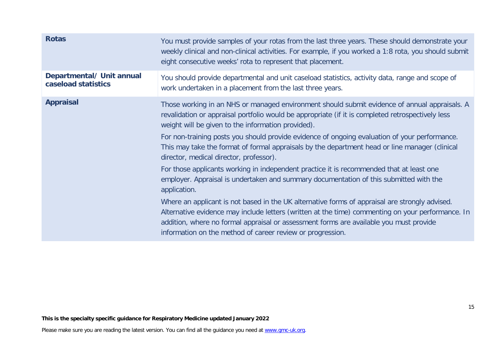| You must provide samples of your rotas from the last three years. These should demonstrate your<br>weekly clinical and non-clinical activities. For example, if you worked a 1:8 rota, you should submit<br>eight consecutive weeks' rota to represent that placement.                                                                                      |
|-------------------------------------------------------------------------------------------------------------------------------------------------------------------------------------------------------------------------------------------------------------------------------------------------------------------------------------------------------------|
| You should provide departmental and unit caseload statistics, activity data, range and scope of<br>work undertaken in a placement from the last three years.                                                                                                                                                                                                |
| Those working in an NHS or managed environment should submit evidence of annual appraisals. A<br>revalidation or appraisal portfolio would be appropriate (if it is completed retrospectively less<br>weight will be given to the information provided).                                                                                                    |
| For non-training posts you should provide evidence of ongoing evaluation of your performance.<br>This may take the format of formal appraisals by the department head or line manager (clinical<br>director, medical director, professor).                                                                                                                  |
| For those applicants working in independent practice it is recommended that at least one<br>employer. Appraisal is undertaken and summary documentation of this submitted with the<br>application.                                                                                                                                                          |
| Where an applicant is not based in the UK alternative forms of appraisal are strongly advised.<br>Alternative evidence may include letters (written at the time) commenting on your performance. In<br>addition, where no formal appraisal or assessment forms are available you must provide<br>information on the method of career review or progression. |
|                                                                                                                                                                                                                                                                                                                                                             |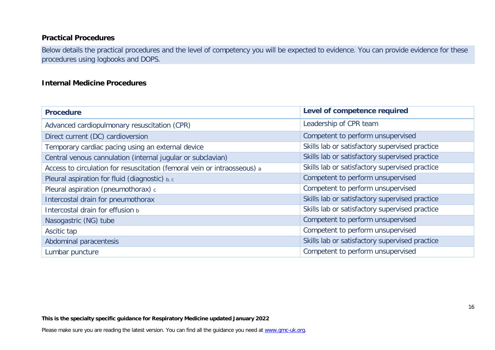### **Practical Procedures**

Below details the practical procedures and the level of competency you will be expected to evidence. You can provide evidence for these procedures using logbooks and DOPS.

### **Internal Medicine Procedures**

| <b>Procedure</b>                                                         | Level of competence required                   |
|--------------------------------------------------------------------------|------------------------------------------------|
| Advanced cardiopulmonary resuscitation (CPR)                             | Leadership of CPR team                         |
| Direct current (DC) cardioversion                                        | Competent to perform unsupervised              |
| Temporary cardiac pacing using an external device                        | Skills lab or satisfactory supervised practice |
| Central venous cannulation (internal jugular or subclavian)              | Skills lab or satisfactory supervised practice |
| Access to circulation for resuscitation (femoral vein or intraosseous) a | Skills lab or satisfactory supervised practice |
| Pleural aspiration for fluid (diagnostic) b, c                           | Competent to perform unsupervised              |
| Pleural aspiration (pneumothorax) c                                      | Competent to perform unsupervised              |
| Intercostal drain for pneumothorax                                       | Skills lab or satisfactory supervised practice |
| Intercostal drain for effusion b                                         | Skills lab or satisfactory supervised practice |
| Nasogastric (NG) tube                                                    | Competent to perform unsupervised              |
| Ascitic tap                                                              | Competent to perform unsupervised              |
| Abdominal paracentesis                                                   | Skills lab or satisfactory supervised practice |
| Lumbar puncture                                                          | Competent to perform unsupervised              |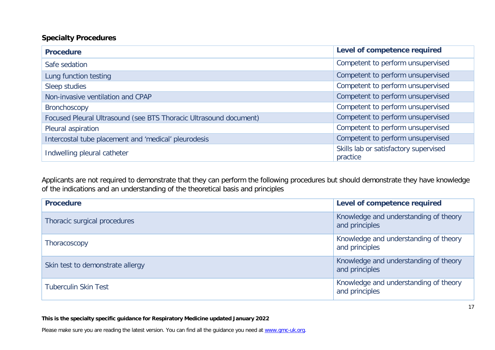### **Specialty Procedures**

| <b>Procedure</b>                                                  | Level of competence required                      |
|-------------------------------------------------------------------|---------------------------------------------------|
| Safe sedation                                                     | Competent to perform unsupervised                 |
| Lung function testing                                             | Competent to perform unsupervised                 |
| Sleep studies                                                     | Competent to perform unsupervised                 |
| Non-invasive ventilation and CPAP                                 | Competent to perform unsupervised                 |
| <b>Bronchoscopy</b>                                               | Competent to perform unsupervised                 |
| Focused Pleural Ultrasound (see BTS Thoracic Ultrasound document) | Competent to perform unsupervised                 |
| Pleural aspiration                                                | Competent to perform unsupervised                 |
| Intercostal tube placement and 'medical' pleurodesis              | Competent to perform unsupervised                 |
| Indwelling pleural catheter                                       | Skills lab or satisfactory supervised<br>practice |

Applicants are not required to demonstrate that they can perform the following procedures but should demonstrate they have knowledge of the indications and an understanding of the theoretical basis and principles

| <b>Procedure</b>                 | Level of competence required                            |
|----------------------------------|---------------------------------------------------------|
| Thoracic surgical procedures     | Knowledge and understanding of theory<br>and principles |
| Thoracoscopy                     | Knowledge and understanding of theory<br>and principles |
| Skin test to demonstrate allergy | Knowledge and understanding of theory<br>and principles |
| <b>Tuberculin Skin Test</b>      | Knowledge and understanding of theory<br>and principles |

**This is the specialty specific guidance for Respiratory Medicine updated January 2022**

Please make sure you are reading the latest version. You can find all the guidance you need at [www.gmc-uk.org.](http://www.gmc-uk.org/)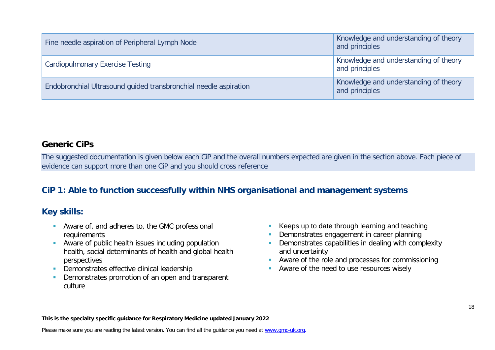| Fine needle aspiration of Peripheral Lymph Node                  | Knowledge and understanding of theory<br>and principles |
|------------------------------------------------------------------|---------------------------------------------------------|
| <b>Cardiopulmonary Exercise Testing</b>                          | Knowledge and understanding of theory<br>and principles |
| Endobronchial Ultrasound guided transbronchial needle aspiration | Knowledge and understanding of theory<br>and principles |

### **Generic CiPs**

The suggested documentation is given below each CiP and the overall numbers expected are given in the section above. Each piece of evidence can support more than one CiP and you should cross reference

# **CiP 1: Able to function successfully within NHS organisational and management systems**

### **Key skills:**

- **Aware of, and adheres to, the GMC professional** requirements
- **Aware of public health issues including population** health, social determinants of health and global health perspectives
- **Demonstrates effective clinical leadership**
- **Demonstrates promotion of an open and transparent** culture
- Keeps up to date through learning and teaching
- Demonstrates engagement in career planning
- **Demonstrates capabilities in dealing with complexity** and uncertainty
- **Aware of the role and processes for commissioning**
- **Aware of the need to use resources wisely**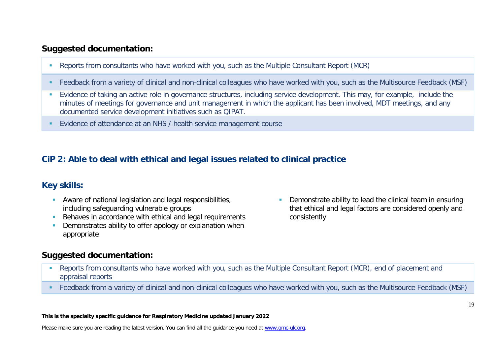### **Suggested documentation:**

- Reports from consultants who have worked with you, such as the Multiple Consultant Report (MCR)
- Feedback from a variety of clinical and non-clinical colleagues who have worked with you, such as the Multisource Feedback (MSF)
- Evidence of taking an active role in governance structures, including service development. This may, for example, include the minutes of meetings for governance and unit management in which the applicant has been involved, MDT meetings, and any documented service development initiatives such as QIPAT.
- Evidence of attendance at an NHS / health service management course

# **CiP 2: Able to deal with ethical and legal issues related to clinical practice**

# **Key skills:**

- **Aware of national legislation and legal responsibilities,** including safeguarding vulnerable groups
- Behaves in accordance with ethical and legal requirements
- **Demonstrates ability to offer apology or explanation when** appropriate

### **Suggested documentation:**

**Demonstrate ability to lead the clinical team in ensuring** that ethical and legal factors are considered openly and consistently

- Reports from consultants who have worked with you, such as the Multiple Consultant Report (MCR), end of placement and appraisal reports
- Feedback from a variety of clinical and non-clinical colleagues who have worked with you, such as the Multisource Feedback (MSF)

**This is the specialty specific guidance for Respiratory Medicine updated January 2022**

Please make sure you are reading the latest version. You can find all the guidance you need at [www.gmc-uk.org.](http://www.gmc-uk.org/)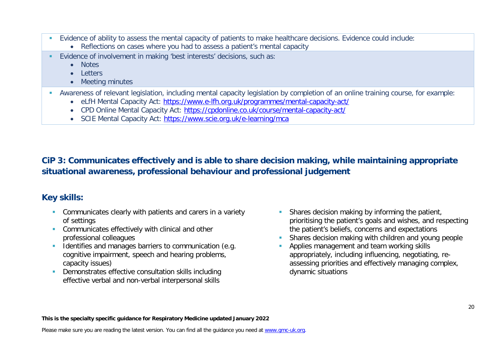- Evidence of ability to assess the mental capacity of patients to make healthcare decisions. Evidence could include:
	- Reflections on cases where you had to assess a patient's mental capacity
- Evidence of involvement in making 'best interests' decisions, such as:
	- Notes
	- Letters
	- Meeting minutes
- Awareness of relevant legislation, including mental capacity legislation by completion of an online training course, for example:
	- eLfH Mental Capacity Act:<https://www.e-lfh.org.uk/programmes/mental-capacity-act/>
	- CPD Online Mental Capacity Act:<https://cpdonline.co.uk/course/mental-capacity-act/>
	- SCIE Mental Capacity Act:<https://www.scie.org.uk/e-learning/mca>

**CiP 3: Communicates effectively and is able to share decision making, while maintaining appropriate situational awareness, professional behaviour and professional judgement**

# **Key skills:**

- **Communicates clearly with patients and carers in a variety** of settings
- **Communicates effectively with clinical and other** professional colleagues
- Identifies and manages barriers to communication (e.g. cognitive impairment, speech and hearing problems, capacity issues)
- Demonstrates effective consultation skills including effective verbal and non-verbal interpersonal skills
- **Shares decision making by informing the patient,** prioritising the patient's goals and wishes, and respecting the patient's beliefs, concerns and expectations
- Shares decision making with children and young people
- Applies management and team working skills appropriately, including influencing, negotiating, reassessing priorities and effectively managing complex, dynamic situations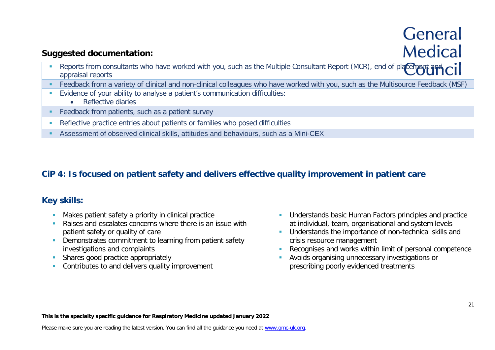# General **Medical**

# **Suggested documentation:**

- Reports from consultants who have worked with you, such as the Multiple Consultant Report (MCR), end of placement and  $\overline{C}$ appraisal reports
- Feedback from a variety of clinical and non-clinical colleagues who have worked with you, such as the Multisource Feedback (MSF)
- Evidence of your ability to analyse a patient's communication difficulties:
	- Reflective diaries
- **Feedback from patients, such as a patient survey**
- Reflective practice entries about patients or families who posed difficulties
- Assessment of observed clinical skills, attitudes and behaviours, such as a Mini-CEX

# **CiP 4: Is focused on patient safety and delivers effective quality improvement in patient care**

# **Key skills:**

- **Makes patient safety a priority in clinical practice**
- **Raises and escalates concerns where there is an issue with** patient safety or quality of care
- **-** Demonstrates commitment to learning from patient safety investigations and complaints
- Shares good practice appropriately
- **Contributes to and delivers quality improvement**
- **Understands basic Human Factors principles and practice** at individual, team, organisational and system levels
- **Understands the importance of non-technical skills and** crisis resource management
- Recognises and works within limit of personal competence
- **Avoids organising unnecessary investigations or** prescribing poorly evidenced treatments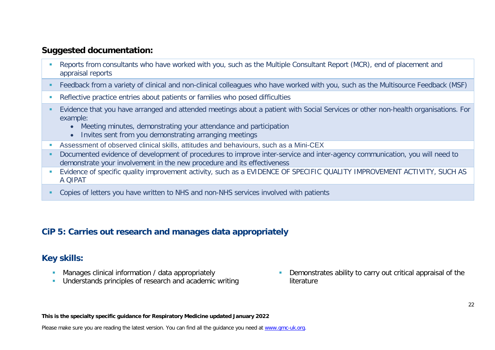## **Suggested documentation:**

- Reports from consultants who have worked with you, such as the Multiple Consultant Report (MCR), end of placement and appraisal reports
- Feedback from a variety of clinical and non-clinical colleagues who have worked with you, such as the Multisource Feedback (MSF)
- Reflective practice entries about patients or families who posed difficulties
- Evidence that you have arranged and attended meetings about a patient with Social Services or other non-health organisations. For example:
	- Meeting minutes, demonstrating your attendance and participation
	- Invites sent from you demonstrating arranging meetings
- Assessment of observed clinical skills, attitudes and behaviours, such as a Mini-CEX
- Documented evidence of development of procedures to improve inter-service and inter-agency communication, you will need to demonstrate your involvement in the new procedure and its effectiveness
- **E** Evidence of specific quality improvement activity, such as a EVIDENCE OF SPECIFIC QUALITY IMPROVEMENT ACTIVITY, SUCH AS A QIPAT
- Copies of letters you have written to NHS and non-NHS services involved with patients

### **CiP 5: Carries out research and manages data appropriately**

### **Key skills:**

- **Manages clinical information / data appropriately**
- **Understands principles of research and academic writing**

 Demonstrates ability to carry out critical appraisal of the literature

#### **This is the specialty specific guidance for Respiratory Medicine updated January 2022**

Please make sure you are reading the latest version. You can find all the guidance you need at [www.gmc-uk.org.](http://www.gmc-uk.org/)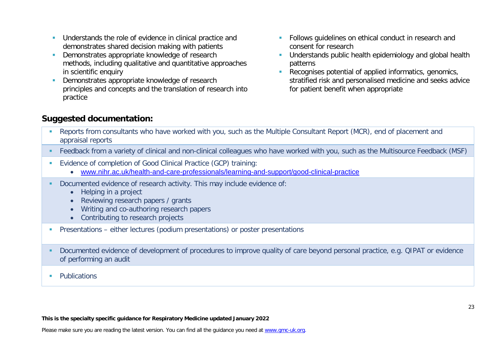- **Understands the role of evidence in clinical practice and** demonstrates shared decision making with patients
- Demonstrates appropriate knowledge of research methods, including qualitative and quantitative approaches in scientific enquiry
- Demonstrates appropriate knowledge of research principles and concepts and the translation of research into practice
- **Follows quidelines on ethical conduct in research and** consent for research
- **Understands public health epidemiology and global health** patterns
- Recognises potential of applied informatics, genomics, stratified risk and personalised medicine and seeks advice for patient benefit when appropriate

# **Suggested documentation:**

- Reports from consultants who have worked with you, such as the Multiple Consultant Report (MCR), end of placement and appraisal reports
- Feedback from a variety of clinical and non-clinical colleagues who have worked with you, such as the Multisource Feedback (MSF)
- Evidence of completion of Good Clinical Practice (GCP) training:
	- [www.nihr.ac.uk/health-and-care-professionals/learning-and-support/good-clinical-practice](https://www.nihr.ac.uk/health-and-care-professionals/learning-and-support/good-clinical-practice.htm)
- Documented evidence of research activity. This may include evidence of:
	- Helping in a project
	- Reviewing research papers / grants
	- Writing and co-authoring research papers
	- Contributing to research projects
- Presentations either lectures (podium presentations) or poster presentations
- Documented evidence of development of procedures to improve quality of care beyond personal practice, e.g. QIPAT or evidence of performing an audit
- **Publications**

#### **This is the specialty specific guidance for Respiratory Medicine updated January 2022**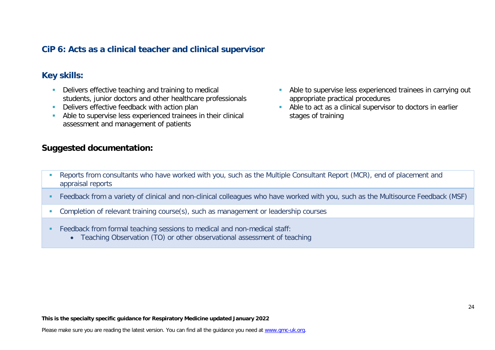## **CiP 6: Acts as a clinical teacher and clinical supervisor**

### **Key skills:**

- Delivers effective teaching and training to medical students, junior doctors and other healthcare professionals
- Delivers effective feedback with action plan
- Able to supervise less experienced trainees in their clinical assessment and management of patients

### **Suggested documentation:**

- **Able to supervise less experienced trainees in carrying out** appropriate practical procedures
- Able to act as a clinical supervisor to doctors in earlier stages of training

- Reports from consultants who have worked with you, such as the Multiple Consultant Report (MCR), end of placement and appraisal reports
- Feedback from a variety of clinical and non-clinical colleagues who have worked with you, such as the Multisource Feedback (MSF)
- Completion of relevant training course(s), such as management or leadership courses
- Feedback from formal teaching sessions to medical and non-medical staff:
	- Teaching Observation (TO) or other observational assessment of teaching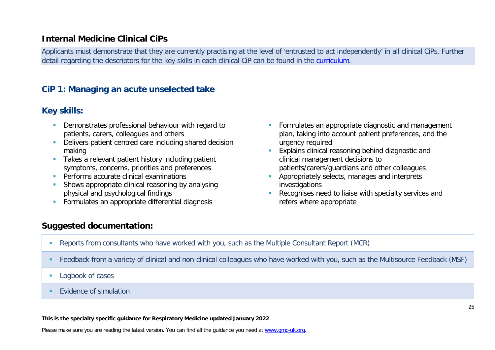### **Internal Medicine Clinical CiPs**

Applicants must demonstrate that they are currently practising at the level of 'entrusted to act independently' in all clinical CiPs. Further detail regarding the descriptors for the key skills in each clinical CiP can be found in the [curriculum.](https://www.gmc-uk.org/education/standards-guidance-and-curricula/curricula#T)

### **CiP 1: Managing an acute unselected take**

### **Key skills:**

- Demonstrates professional behaviour with regard to patients, carers, colleagues and others
- Delivers patient centred care including shared decision making
- **Takes a relevant patient history including patient** symptoms, concerns, priorities and preferences
- **Performs accurate clinical examinations**
- Shows appropriate clinical reasoning by analysing physical and psychological findings
- **Formulates an appropriate differential diagnosis**
- **Formulates an appropriate diagnostic and management** plan, taking into account patient preferences, and the urgency required
- **Explains clinical reasoning behind diagnostic and** clinical management decisions to patients/carers/guardians and other colleagues
- **Appropriately selects, manages and interprets** investigations
- Recognises need to liaise with specialty services and refers where appropriate

# **Suggested documentation:**

- Reports from consultants who have worked with you, such as the Multiple Consultant Report (MCR)
- Feedback from a variety of clinical and non-clinical colleagues who have worked with you, such as the Multisource Feedback (MSF)
- **Logbook of cases**
- **EVidence of simulation**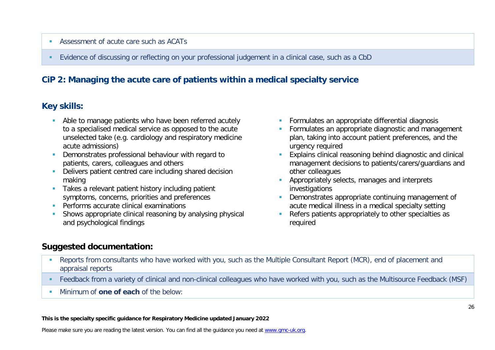### Assessment of acute care such as ACATs

Evidence of discussing or reflecting on your professional judgement in a clinical case, such as a CbD

# **CiP 2: Managing the acute care of patients within a medical specialty service**

# **Key skills:**

- Able to manage patients who have been referred acutely to a specialised medical service as opposed to the acute unselected take (e.g. cardiology and respiratory medicine acute admissions)
- **Demonstrates professional behaviour with regard to** patients, carers, colleagues and others
- **-** Delivers patient centred care including shared decision making
- Takes a relevant patient history including patient symptoms, concerns, priorities and preferences
- **Performs accurate clinical examinations**
- **Shows appropriate clinical reasoning by analysing physical** and psychological findings
- **Formulates an appropriate differential diagnosis**
- **Formulates an appropriate diagnostic and management** plan, taking into account patient preferences, and the urgency required
- **Explains clinical reasoning behind diagnostic and clinical** management decisions to patients/carers/guardians and other colleagues
- **Appropriately selects, manages and interprets** investigations
- Demonstrates appropriate continuing management of acute medical illness in a medical specialty setting
- Refers patients appropriately to other specialties as required

# **Suggested documentation:**

- Reports from consultants who have worked with you, such as the Multiple Consultant Report (MCR), end of placement and appraisal reports
- Feedback from a variety of clinical and non-clinical colleagues who have worked with you, such as the Multisource Feedback (MSF)
- **Minimum of one of each of the below:**

#### **This is the specialty specific guidance for Respiratory Medicine updated January 2022**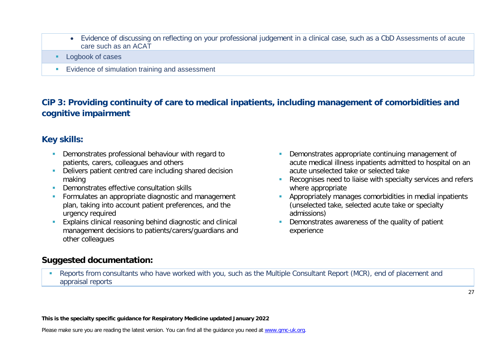- Evidence of discussing on reflecting on your professional judgement in a clinical case, such as a CbD Assessments of acute care such as an ACAT
- Logbook of cases
- **Evidence of simulation training and assessment**

# **CiP 3: Providing continuity of care to medical inpatients, including management of comorbidities and cognitive impairment**

# **Key skills:**

- **Demonstrates professional behaviour with regard to** patients, carers, colleagues and others
- Delivers patient centred care including shared decision making
- **Demonstrates effective consultation skills**
- **Formulates an appropriate diagnostic and management** plan, taking into account patient preferences, and the urgency required
- **Explains clinical reasoning behind diagnostic and clinical** management decisions to patients/carers/guardians and other colleagues
- **Demonstrates appropriate continuing management of** acute medical illness inpatients admitted to hospital on an acute unselected take or selected take
- Recognises need to liaise with specialty services and refers where appropriate
- **Appropriately manages comorbidities in medial inpatients** (unselected take, selected acute take or specialty admissions)
- Demonstrates awareness of the quality of patient experience

### **Suggested documentation:**

 Reports from consultants who have worked with you, such as the Multiple Consultant Report (MCR), end of placement and appraisal reports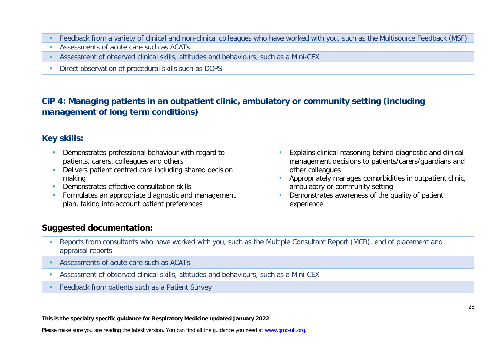- Feedback from a variety of clinical and non-clinical colleagues who have worked with you, such as the Multisource Feedback (MSF)
- Assessments of acute care such as ACATs
- Assessment of observed clinical skills, attitudes and behaviours, such as a Mini-CEX
- Direct observation of procedural skills such as DOPS

# **CiP 4: Managing patients in an outpatient clinic, ambulatory or community setting (including management of long term conditions)**

# **Key skills:**

- Demonstrates professional behaviour with regard to patients, carers, colleagues and others
- **-** Delivers patient centred care including shared decision making
- **Demonstrates effective consultation skills**
- **Formulates an appropriate diagnostic and management** plan, taking into account patient preferences
- **Explains clinical reasoning behind diagnostic and clinical** management decisions to patients/carers/guardians and other colleagues
- **Appropriately manages comorbidities in outpatient clinic,** ambulatory or community setting
- Demonstrates awareness of the quality of patient experience

# **Suggested documentation:**

- **Reports from consultants who have worked with you, such as the Multiple Consultant Report (MCR), end of placement and** appraisal reports
- Assessments of acute care such as ACATs
- Assessment of observed clinical skills, attitudes and behaviours, such as a Mini-CEX
- **Feedback from patients such as a Patient Survey**

#### **This is the specialty specific guidance for Respiratory Medicine updated January 2022**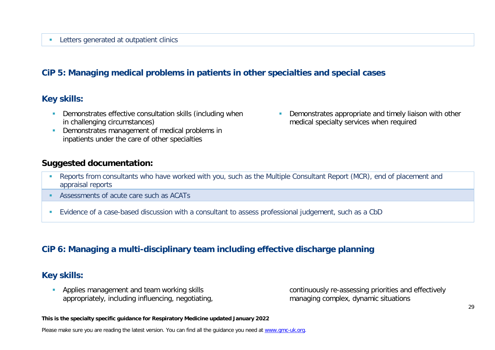#### **Letters generated at outpatient clinics**

### **CiP 5: Managing medical problems in patients in other specialties and special cases**

### **Key skills:**

- **-** Demonstrates effective consultation skills (including when in challenging circumstances)
- Demonstrates management of medical problems in inpatients under the care of other specialties

### **Suggested documentation:**

**•** Demonstrates appropriate and timely liaison with other medical specialty services when required

- Reports from consultants who have worked with you, such as the Multiple Consultant Report (MCR), end of placement and appraisal reports
- Assessments of acute care such as ACATs
- Evidence of a case-based discussion with a consultant to assess professional judgement, such as a CbD

### **CiP 6: Managing a multi-disciplinary team including effective discharge planning**

### **Key skills:**

**Applies management and team working skills** appropriately, including influencing, negotiating, continuously re-assessing priorities and effectively managing complex, dynamic situations

**This is the specialty specific guidance for Respiratory Medicine updated January 2022**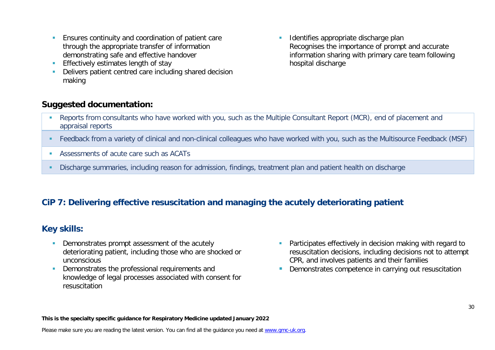- **Ensures continuity and coordination of patient care** through the appropriate transfer of information demonstrating safe and effective handover
- **Effectively estimates length of stay**
- Delivers patient centred care including shared decision making

### **Suggested documentation:**

**In Identifies appropriate discharge plan** Recognises the importance of prompt and accurate information sharing with primary care team following hospital discharge

- Reports from consultants who have worked with you, such as the Multiple Consultant Report (MCR), end of placement and appraisal reports
- Feedback from a variety of clinical and non-clinical colleagues who have worked with you, such as the Multisource Feedback (MSF)
- Assessments of acute care such as ACATs
- Discharge summaries, including reason for admission, findings, treatment plan and patient health on discharge

# **CiP 7: Delivering effective resuscitation and managing the acutely deteriorating patient**

### **Key skills:**

- Demonstrates prompt assessment of the acutely deteriorating patient, including those who are shocked or unconscious
- **Demonstrates the professional requirements and** knowledge of legal processes associated with consent for resuscitation
- **Participates effectively in decision making with regard to** resuscitation decisions, including decisions not to attempt CPR, and involves patients and their families
- **Demonstrates competence in carrying out resuscitation**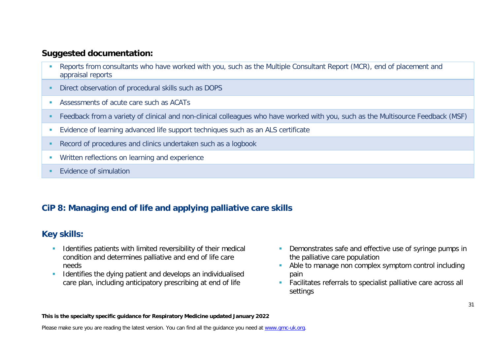### **Suggested documentation:**

- Reports from consultants who have worked with you, such as the Multiple Consultant Report (MCR), end of placement and appraisal reports
- Direct observation of procedural skills such as DOPS
- Assessments of acute care such as ACATs
- Feedback from a variety of clinical and non-clinical colleagues who have worked with you, such as the Multisource Feedback (MSF)
- Evidence of learning advanced life support techniques such as an ALS certificate
- Record of procedures and clinics undertaken such as a logbook
- **Written reflections on learning and experience**
- **EVidence of simulation**

# **CiP 8: Managing end of life and applying palliative care skills**

# **Key skills:**

- **If Identifies patients with limited reversibility of their medical** condition and determines palliative and end of life care needs
- **IDENTIFIEM** 1 dentifies the dying patient and develops an individualised care plan, including anticipatory prescribing at end of life
- **Demonstrates safe and effective use of syringe pumps in** the palliative care population
- Able to manage non complex symptom control including pain
- **Facilitates referrals to specialist palliative care across all** settings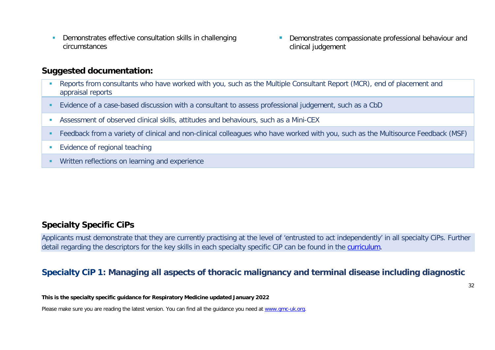**Demonstrates effective consultation skills in challenging** circumstances

**Demonstrates compassionate professional behaviour and** clinical judgement

### **Suggested documentation:**

- Reports from consultants who have worked with you, such as the Multiple Consultant Report (MCR), end of placement and appraisal reports
- Evidence of a case-based discussion with a consultant to assess professional judgement, such as a CbD
- Assessment of observed clinical skills, attitudes and behaviours, such as a Mini-CEX
- Feedback from a variety of clinical and non-clinical colleagues who have worked with you, such as the Multisource Feedback (MSF)
- **Evidence of regional teaching**
- **Written reflections on learning and experience**

### **Specialty Specific CiPs**

Applicants must demonstrate that they are currently practising at the level of 'entrusted to act independently' in all specialty CiPs. Further detail regarding the descriptors for the key skills in each specialty specific CiP can be found in the [curriculum.](https://www.gmc-uk.org/education/standards-guidance-and-curricula/curricula#T)

### **Specialty CiP 1: Managing all aspects of thoracic malignancy and terminal disease including diagnostic**

**This is the specialty specific guidance for Respiratory Medicine updated January 2022**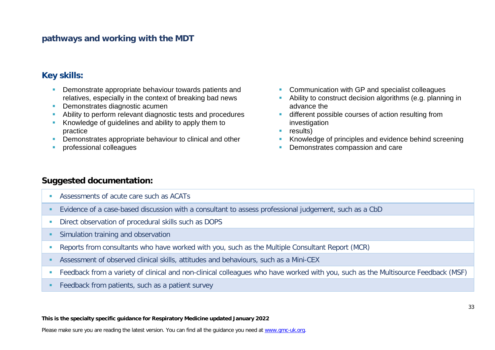### **pathways and working with the MDT**

### **Key skills:**

- **Demonstrate appropriate behaviour towards patients and** relatives, especially in the context of breaking bad news
- **Demonstrates diagnostic acument**
- Ability to perform relevant diagnostic tests and procedures
- Knowledge of guidelines and ability to apply them to practice
- **Demonstrates appropriate behaviour to clinical and other**
- professional colleagues
- **Communication with GP and specialist colleagues**
- Ability to construct decision algorithms (e.g. planning in advance the
- **different possible courses of action resulting from** investigation
- $reslits)$
- Knowledge of principles and evidence behind screening
- Demonstrates compassion and care

### **Suggested documentation:**

- Assessments of acute care such as ACATs
- Evidence of a case-based discussion with a consultant to assess professional judgement, such as a CbD
- Direct observation of procedural skills such as DOPS
- **Simulation training and observation**
- Reports from consultants who have worked with you, such as the Multiple Consultant Report (MCR)
- Assessment of observed clinical skills, attitudes and behaviours, such as a Mini-CEX
- Feedback from a variety of clinical and non-clinical colleagues who have worked with you, such as the Multisource Feedback (MSF)
- **Feedback from patients, such as a patient survey**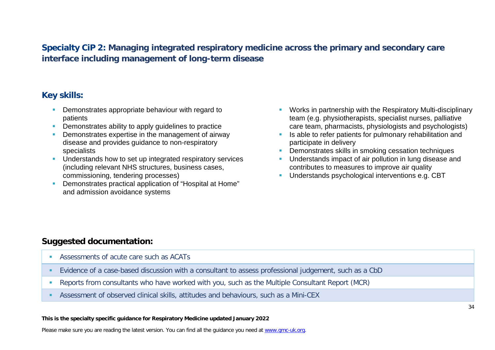# **Specialty CiP 2: Managing integrated respiratory medicine across the primary and secondary care interface including management of long-term disease**

# **Key skills:**

- **Demonstrates appropriate behaviour with regard to** patients
- **Demonstrates ability to apply quidelines to practice**
- Demonstrates expertise in the management of airway disease and provides guidance to non-respiratory specialists
- **Understands how to set up integrated respiratory services** (including relevant NHS structures, business cases, commissioning, tendering processes)
- Demonstrates practical application of "Hospital at Home" and admission avoidance systems
- **Works in partnership with the Respiratory Multi-disciplinary** team (e.g. physiotherapists, specialist nurses, palliative care team, pharmacists, physiologists and psychologists)
- Is able to refer patients for pulmonary rehabilitation and participate in delivery
- **Demonstrates skills in smoking cessation techniques**
- **Understands impact of air pollution in lung disease and** contributes to measures to improve air quality
- **Understands psychological interventions e.g. CBT**

# **Suggested documentation:**

- Assessments of acute care such as ACATs
- Evidence of a case-based discussion with a consultant to assess professional judgement, such as a CbD
- Reports from consultants who have worked with you, such as the Multiple Consultant Report (MCR)
- Assessment of observed clinical skills, attitudes and behaviours, such as a Mini-CEX

#### **This is the specialty specific guidance for Respiratory Medicine updated January 2022**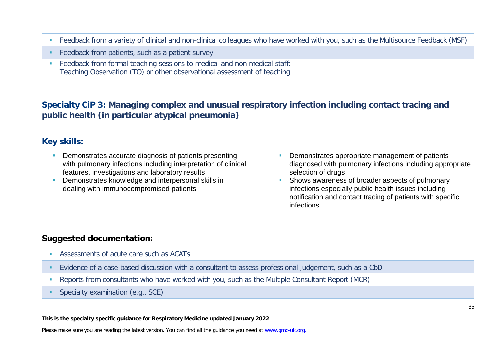- Feedback from a variety of clinical and non-clinical colleagues who have worked with you, such as the Multisource Feedback (MSF)
- **Feedback from patients, such as a patient survey**
- Feedback from formal teaching sessions to medical and non-medical staff: Teaching Observation (TO) or other observational assessment of teaching

# **Specialty CiP 3: Managing complex and unusual respiratory infection including contact tracing and public health (in particular atypical pneumonia)**

### **Key skills:**

- **Demonstrates accurate diagnosis of patients presenting** with pulmonary infections including interpretation of clinical features, investigations and laboratory results
- **Demonstrates knowledge and interpersonal skills in** dealing with immunocompromised patients
- Demonstrates appropriate management of patients diagnosed with pulmonary infections including appropriate selection of drugs
- **Shows awareness of broader aspects of pulmonary** infections especially public health issues including notification and contact tracing of patients with specific infections

# **Suggested documentation:**

- Assessments of acute care such as ACATs
- Evidence of a case-based discussion with a consultant to assess professional judgement, such as a CbD
- Reports from consultants who have worked with you, such as the Multiple Consultant Report (MCR)
- Specialty examination (e.g., SCE)

#### **This is the specialty specific guidance for Respiratory Medicine updated January 2022**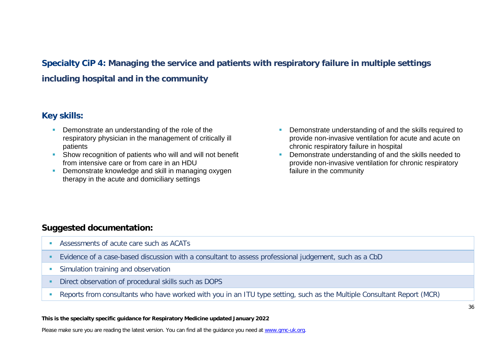# **Specialty CiP 4: Managing the service and patients with respiratory failure in multiple settings including hospital and in the community**

### **Key skills:**

- **Demonstrate an understanding of the role of the** respiratory physician in the management of critically ill patients
- **Show recognition of patients who will and will not benefit** from intensive care or from care in an HDU
- **Demonstrate knowledge and skill in managing oxygen** therapy in the acute and domiciliary settings
- Demonstrate understanding of and the skills required to provide non-invasive ventilation for acute and acute on chronic respiratory failure in hospital
- **Demonstrate understanding of and the skills needed to** provide non-invasive ventilation for chronic respiratory failure in the community

# **Suggested documentation:**

- Assessments of acute care such as ACATs
- Evidence of a case-based discussion with a consultant to assess professional judgement, such as a CbD
- **Simulation training and observation**
- **Direct observation of procedural skills such as DOPS**
- Reports from consultants who have worked with you in an ITU type setting, such as the Multiple Consultant Report (MCR)

#### **This is the specialty specific guidance for Respiratory Medicine updated January 2022**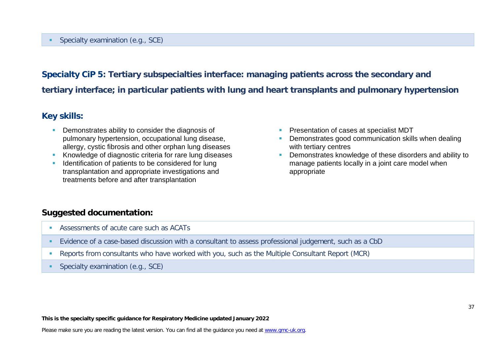### Specialty examination (e.g., SCE)

# **Specialty CiP 5: Tertiary subspecialties interface: managing patients across the secondary and tertiary interface; in particular patients with lung and heart transplants and pulmonary hypertension**

### **Key skills:**

- **Demonstrates ability to consider the diagnosis of** pulmonary hypertension, occupational lung disease, allergy, cystic fibrosis and other orphan lung diseases
- Knowledge of diagnostic criteria for rare lung diseases
- **IDENTIFICATE IDENTIFICATE:** Identification of patients to be considered for lung transplantation and appropriate investigations and treatments before and after transplantation
- **Presentation of cases at specialist MDT**
- **Demonstrates good communication skills when dealing** with tertiary centres
- **•** Demonstrates knowledge of these disorders and ability to manage patients locally in a joint care model when appropriate

### **Suggested documentation:**

- Assessments of acute care such as ACATs
- Evidence of a case-based discussion with a consultant to assess professional judgement, such as a CbD
- Reports from consultants who have worked with you, such as the Multiple Consultant Report (MCR)
- **Specialty examination (e.g., SCE)**

**This is the specialty specific guidance for Respiratory Medicine updated January 2022**